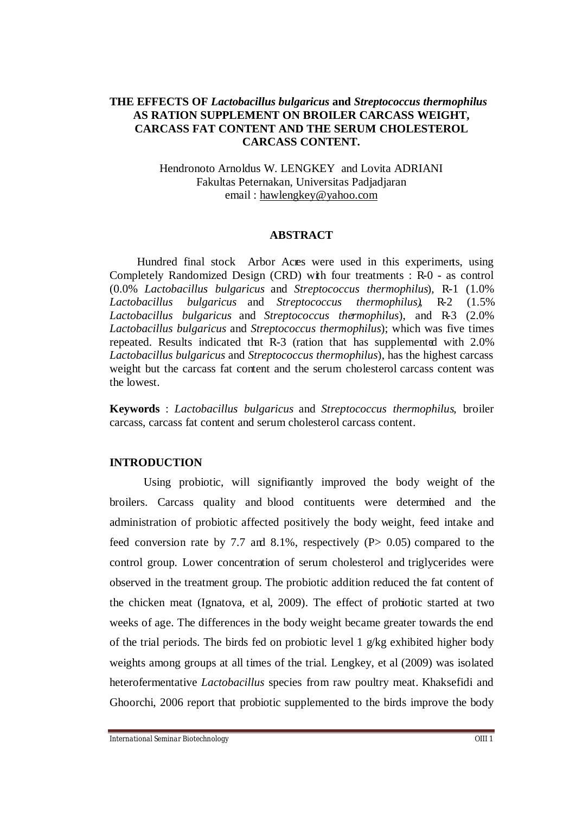# **THE EFFECTS OF** *Lactobacillus bulgaricus* **and** *Streptococcus thermophilus* **AS RATION SUPPLEMENT ON BROILER CARCASS WEIGHT, CARCASS FAT CONTENT AND THE SERUM CHOLESTEROL CARCASS CONTENT.**

# Hendronoto Arnoldus W. LENGKEY and Lovita ADRIANI Fakultas Peternakan, Universitas Padjadjaran email : hawlengkey@yahoo.com

### **ABSTRACT**

Hundred final stock Arbor Acres were used in this experiments, using Completely Randomized Design (CRD) with four treatments : R-0 - as control (0.0% *Lactobacillus bulgaricus* and *Streptococcus thermophilus*), R-1 (1.0% *Lactobacillus bulgaricus* and *Streptococcus thermophilus)*, R-2 (1.5% *Lactobacillus bulgaricus* and *Streptococcus thermophilus*), and R-3 (2.0% *Lactobacillus bulgaricus* and *Streptococcus thermophilus*); which was five times repeated. Results indicated that R-3 (ration that has supplemented with 2.0% *Lactobacillus bulgaricus* and *Streptococcus thermophilus*), has the highest carcass weight but the carcass fat content and the serum cholesterol carcass content was the lowest.

**Keywords** : *Lactobacillus bulgaricus* and *Streptococcus thermophilus*, broiler carcass, carcass fat content and serum cholesterol carcass content.

### **INTRODUCTION**

Using probiotic, will significantly improved the body weight of the broilers. Carcass quality and blood contituents were determined and the administration of probiotic affected positively the body weight, feed intake and feed conversion rate by 7.7 and 8.1%, respectively  $(P> 0.05)$  compared to the control group. Lower concentration of serum cholesterol and triglycerides were observed in the treatment group. The probiotic addition reduced the fat content of the chicken meat (Ignatova, et al, 2009). The effect of probiotic started at two weeks of age. The differences in the body weight became greater towards the end of the trial periods. The birds fed on probiotic level 1  $g/kg$  exhibited higher body weights among groups at all times of the trial. Lengkey, et al (2009) was isolated heterofermentative *Lactobacillus* species from raw poultry meat. Khaksefidi and Ghoorchi, 2006 report that probiotic supplemented to the birds improve the body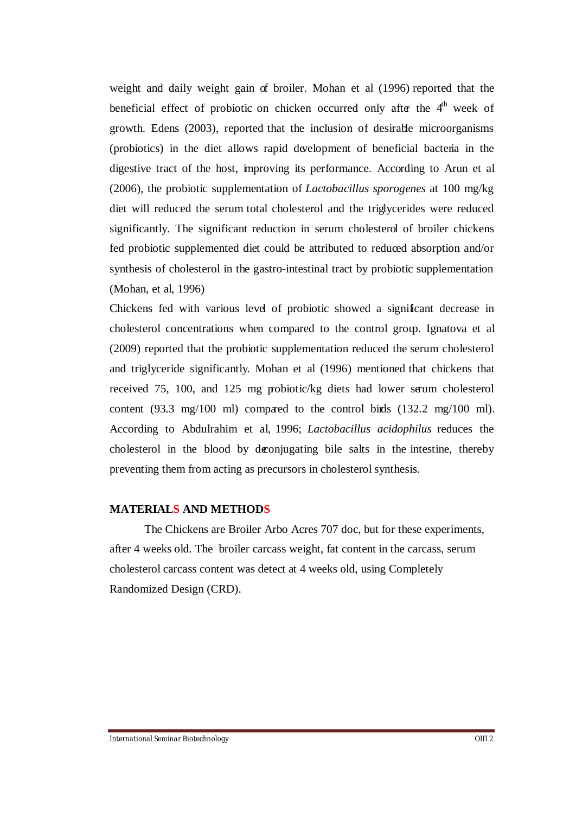weight and daily weight gain of broiler. Mohan et al (1996) reported that the beneficial effect of probiotic on chicken occurred only after the  $4<sup>th</sup>$  week of growth. Edens (2003), reported that the inclusion of desirable microorganisms (probiotics) in the diet allows rapid development of beneficial bacteria in the digestive tract of the host, improving its performance. According to Arun et al (2006), the probiotic supplementation of *Lactobacillus sporogenes* at 100 mg/kg diet will reduced the serum total cholesterol and the triglycerides were reduced significantly. The significant reduction in serum cholesterol of broiler chickens fed probiotic supplemented diet could be attributed to reduced absorption and/or synthesis of cholesterol in the gastro-intestinal tract by probiotic supplementation (Mohan, et al, 1996)

Chickens fed with various level of probiotic showed a significant decrease in cholesterol concentrations when compared to the control group. Ignatova et al (2009) reported that the probiotic supplementation reduced the serum cholesterol and triglyceride significantly. Mohan et al (1996) mentioned that chickens that received 75, 100, and 125 mg probiotic/kg diets had lower serum cholesterol content (93.3 mg/100 ml) compared to the control birds  $(132.2 \text{ mg}/100 \text{ ml})$ . According to Abdulrahim et al, 1996; *Lactobacillus acidophilus* reduces the cholesterol in the blood by deconjugating bile salts in the intestine, thereby preventing them from acting as precursors in cholesterol synthesis.

## **MATERIALS AND METHODS**

The Chickens are Broiler Arbo Acres 707 doc, but for these experiments, after 4 weeks old. The broiler carcass weight, fat content in the carcass, serum cholesterol carcass content was detect at 4 weeks old, using Completely Randomized Design (CRD).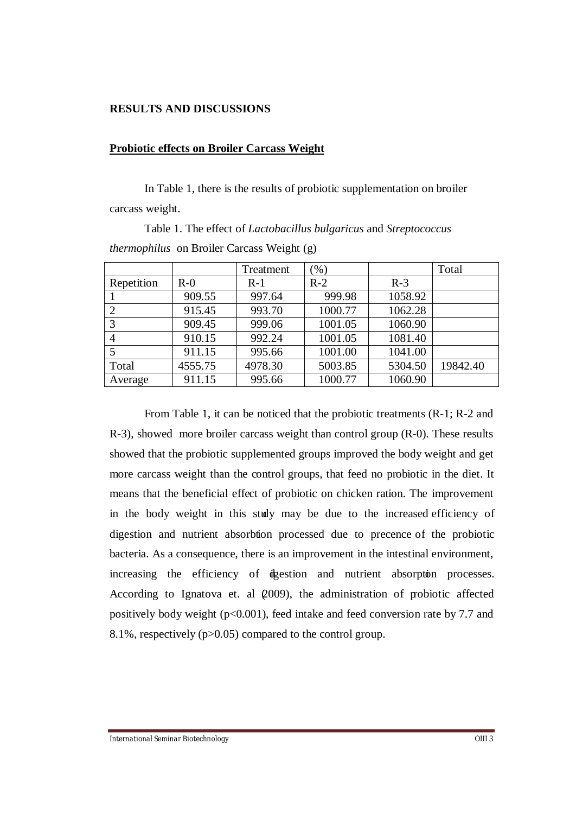### **RESULTS AND DISCUSSIONS**

## **Probiotic effects on Broiler Carcass Weight**

In Table 1, there is the results of probiotic supplementation on broiler carcass weight.

Table 1. The effect of *Lactobacillus bulgaricus* and *Streptococcus thermophilus* on Broiler Carcass Weight (g)

|                |         | Treatment | $(\%)$  |         | Total    |
|----------------|---------|-----------|---------|---------|----------|
| Repetition     | $R-0$   | $R-1$     | $R-2$   | $R-3$   |          |
|                | 909.55  | 997.64    | 999.98  | 1058.92 |          |
| $\overline{2}$ | 915.45  | 993.70    | 1000.77 | 1062.28 |          |
| 3              | 909.45  | 999.06    | 1001.05 | 1060.90 |          |
| $\overline{4}$ | 910.15  | 992.24    | 1001.05 | 1081.40 |          |
| 5              | 911.15  | 995.66    | 1001.00 | 1041.00 |          |
| Total          | 4555.75 | 4978.30   | 5003.85 | 5304.50 | 19842.40 |
| Average        | 911.15  | 995.66    | 1000.77 | 1060.90 |          |

From Table 1, it can be noticed that the probiotic treatments (R-1; R-2 and R-3), showed more broiler carcass weight than control group (R-0). These results showed that the probiotic supplemented groups improved the body weight and get more carcass weight than the control groups, that feed no probiotic in the diet. It means that the beneficial effect of probiotic on chicken ration. The improvement in the body weight in this study may be due to the increased efficiency of digestion and nutrient absorbtion processed due to precence of the probiotic bacteria. As a consequence, there is an improvement in the intestinal environment, increasing the efficiency of digestion and nutrient absorpton processes. According to Ignatova et. al  $(2009)$ , the administration of probiotic affected positively body weight ( $p<0.001$ ), feed intake and feed conversion rate by 7.7 and 8.1%, respectively (p>0.05) compared to the control group.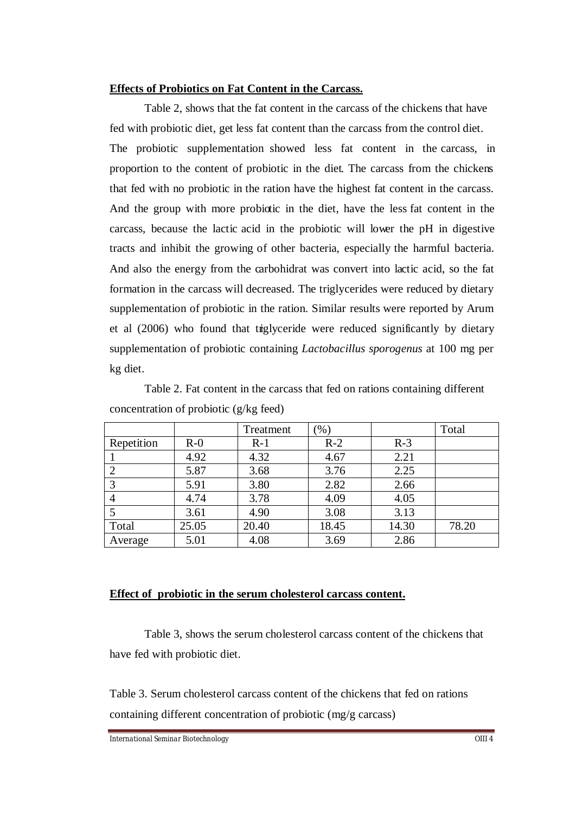## **Effects of Probiotics on Fat Content in the Carcass.**

Table 2, shows that the fat content in the carcass of the chickens that have fed with probiotic diet, get less fat content than the carcass from the control diet. The probiotic supplementation showed less fat content in the carcass, in proportion to the content of probiotic in the diet. The carcass from the chickens that fed with no probiotic in the ration have the highest fat content in the carcass. And the group with more probiotic in the diet, have the less fat content in the carcass, because the lactic acid in the probiotic will lower the pH in digestive tracts and inhibit the growing of other bacteria, especially the harmful bacteria. And also the energy from the carbohidrat was convert into lactic acid, so the fat formation in the carcass will decreased. The triglycerides were reduced by dietary supplementation of probiotic in the ration. Similar results were reported by Arum et al (2006) who found that triglyceride were reduced significantly by dietary supplementation of probiotic containing *Lactobacillus sporogenus* at 100 mg per kg diet.

Table 2. Fat content in the carcass that fed on rations containing different concentration of probiotic (g/kg feed)

|                |       | Treatment | $(\%)$ |       | Total |
|----------------|-------|-----------|--------|-------|-------|
| Repetition     | $R-0$ | $R-1$     | $R-2$  | $R-3$ |       |
|                | 4.92  | 4.32      | 4.67   | 2.21  |       |
| $\overline{2}$ | 5.87  | 3.68      | 3.76   | 2.25  |       |
| 3              | 5.91  | 3.80      | 2.82   | 2.66  |       |
| 4              | 4.74  | 3.78      | 4.09   | 4.05  |       |
| 5              | 3.61  | 4.90      | 3.08   | 3.13  |       |
| Total          | 25.05 | 20.40     | 18.45  | 14.30 | 78.20 |
| Average        | 5.01  | 4.08      | 3.69   | 2.86  |       |

# **Effect of probiotic in the serum cholesterol carcass content.**

Table 3, shows the serum cholesterol carcass content of the chickens that have fed with probiotic diet.

Table 3. Serum cholesterol carcass content of the chickens that fed on rations containing different concentration of probiotic (mg/g carcass)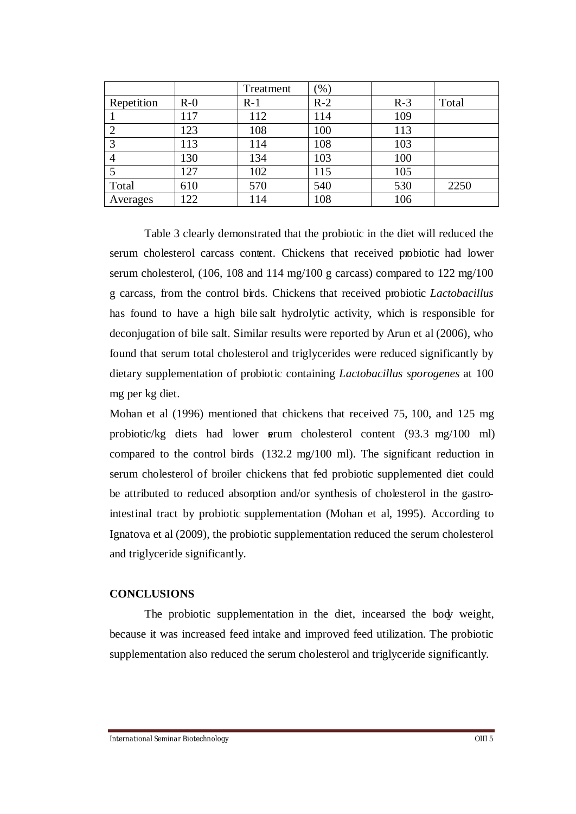|            |       | Treatment | $\mathcal{O}(6)$ |       |       |
|------------|-------|-----------|------------------|-------|-------|
| Repetition | $R-0$ | $R-1$     | $R-2$            | $R-3$ | Total |
|            | 117   | 112       | 114              | 109   |       |
|            | 123   | 108       | 100              | 113   |       |
|            | 113   | 114       | 108              | 103   |       |
|            | 130   | 134       | 103              | 100   |       |
|            | 127   | 102       | 115              | 105   |       |
| Total      | 610   | 570       | 540              | 530   | 2250  |
| Averages   | 122   | 114       | 108              | 106   |       |

Table 3 clearly demonstrated that the probiotic in the diet will reduced the serum cholesterol carcass content. Chickens that received probiotic had lower serum cholesterol,  $(106, 108 \text{ and } 114 \text{ mg}/100 \text{ g}$  carcass) compared to  $122 \text{ mg}/100$ g carcass, from the control birds. Chickens that received probiotic *Lactobacillus* has found to have a high bile salt hydrolytic activity, which is responsible for deconjugation of bile salt. Similar results were reported by Arun et al (2006), who found that serum total cholesterol and triglycerides were reduced significantly by dietary supplementation of probiotic containing *Lactobacillus sporogenes* at 100 mg per kg diet.

Mohan et al (1996) mentioned that chickens that received 75, 100, and 125 mg probiotic/kg diets had lower serum cholesterol content (93.3 mg/100 ml) compared to the control birds (132.2 mg/100 ml). The significant reduction in serum cholesterol of broiler chickens that fed probiotic supplemented diet could be attributed to reduced absorption and/or synthesis of cholesterol in the gastrointestinal tract by probiotic supplementation (Mohan et al, 1995). According to Ignatova et al (2009), the probiotic supplementation reduced the serum cholesterol and triglyceride significantly.

#### **CONCLUSIONS**

The probiotic supplementation in the diet, incearsed the body weight, because it was increased feed intake and improved feed utilization. The probiotic supplementation also reduced the serum cholesterol and triglyceride significantly.